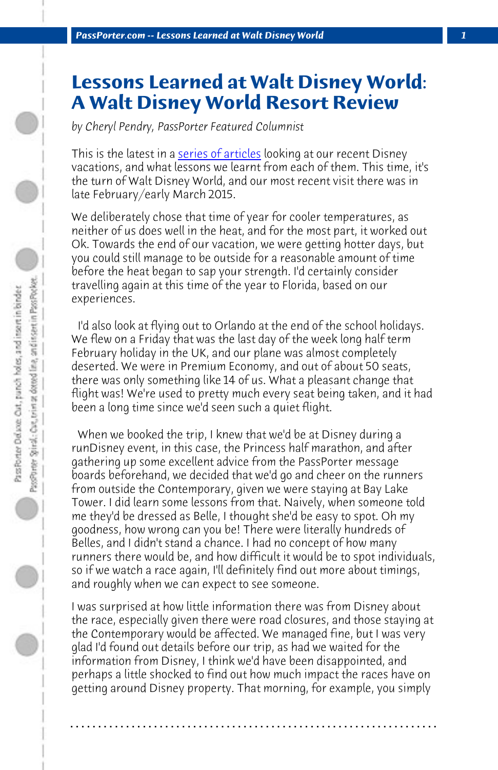*PassPorter.com -- Lessons Learned at Walt Disney World 1*

## **Lessons Learned at Walt Disney World: A Walt Disney World Resort Review**

*by Cheryl Pendry, PassPorter Featured Columnist*

This is the latest in a series of articles looking at our recent Disney vacations, and what lessons we learnt from each of them. This time, it's the turn of Walt Disney World, and our most recent visit there was in late February/early March 2015.

We deliberately chose that time of year for cooler temperatures, as neither of us does well in the heat, and for the most part, it worked out Ok. Towards the end of our vacation, we were getting hotter days, but you could still manage to be outside for a reasonable amount of time before the heat began to sap your strength. I'd certainly consider travelling again at this time of the year to Florida, based on our experiences.

 I'd also look at flying out to Orlando at the end of the school holidays. We flew on a Friday that was the last day of the week long half term February holiday in the UK, and our plane was almost completely deserted. We were in Premium Economy, and out of about 50 seats, there was only something like 14 of us. What a pleasant change that flight was! We're used to pretty much every seat being taken, and it had been a long time since we'd seen such a quiet flight.

 When we booked the trip, I knew that we'd be at Disney during a runDisney event, in this case, the Princess half marathon, and after gathering up some excellent advice from the PassPorter message boards beforehand, we decided that we'd go and cheer on the runners from outside the Contemporary, given we were staying at Bay Lake Tower. I did learn some lessons from that. Naively, when someone told me they'd be dressed as Belle, I thought she'd be easy to spot. Oh my goodness, how wrong can you be! There were literally hundreds of Belles, and I didn't stand a chance. I had no concept of how many runners there would be, and how difficult it would be to spot individuals, so if we watch a race again, I'll definitely find out more about timings, and roughly when we can expect to see someone.

I was surprised at how little information there was from Disney about the race, especially given there were road closures, and those staying at the Contemporary would be affected. We managed fine, but I was very glad I'd found out details before our trip, as had we waited for the information from Disney, I think we'd have been disappointed, and perhaps a little shocked to find out how much impact the races have on getting around Disney property. That morning, for example, you simply

**. . . . . . . . . . . . . . . . . . . . . . . . . . . . . . . . . . . . . . . . . . . . . . . . . . . . . . . . . . . . . . . . . .**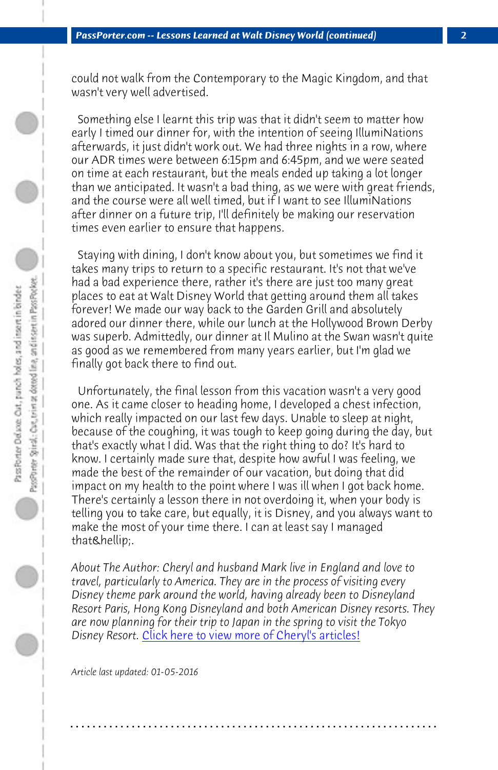*PassPorter.com -- Lessons Learned at Walt Disney World (continued) 2*

could not walk from the Contemporary to the Magic Kingdom, and that wasn't very well advertised.

 Something else I learnt this trip was that it didn't seem to matter how early I timed our dinner for, with the intention of seeing IllumiNations afterwards, it just didn't work out. We had three nights in a row, where our ADR times were between 6:15pm and 6:45pm, and we were seated on time at each restaurant, but the meals ended up taking a lot longer than we anticipated. It wasn't a bad thing, as we were with great friends, and the course were all well timed, but if I want to see IllumiNations after dinner on a future trip, I'll definitely be making our reservation times even earlier to ensure that happens.

 Staying with dining, I don't know about you, but sometimes we find it takes many trips to return to a specific restaurant. It's not that we've had a bad experience there, rather it's there are just too many great places to eat at Walt Disney World that getting around them all takes forever! We made our way back to the Garden Grill and absolutely adored our dinner there, while our lunch at the Hollywood Brown Derby was superb. Admittedly, our dinner at Il Mulino at the Swan wasn't quite as good as we remembered from many years earlier, but I'm glad we finally got back there to find out.

 Unfortunately, the final lesson from this vacation wasn't a very good one. As it ca[me closer to heading home, I developed a che](http://www.passporter.com/articles/cheryl-pendry-featured-columnist.asp)st infection, which really impacted on our last few days. Unable to sleep at night, because of the coughing, it was tough to keep going during the day, but that's exactly what I did. Was that the right thing to do? It's hard to know. I certainly made sure that, despite how awful I was feeling, we made the best of the remainder of our vacation, but doing that did impact on my health to the point where I was ill when I got back home. There's certainly a lesson there in not overdoing it, when your body is telling you to take care, but equally, it is Disney, and you always want to make the most of your time there. I can at least say I managed that….

*About The Author: Cheryl and husband Mark live in England and love to travel, particularly to America. They are in the process of visiting every Disney theme park around the world, having already been to Disneyland Resort Paris, Hong Kong Disneyland and both American Disney resorts. They are now planning for their trip to Japan in the spring to visit the Tokyo Disney Resort.* Click here to view more of Cheryl's articles!

**. . . . . . . . . . . . . . . . . . . . . . . . . . . . . . . . . . . . . . . . . . . . . . . . . . . . . . . . . . . . . . . . . .**

*Article last updated: 01-05-2016*